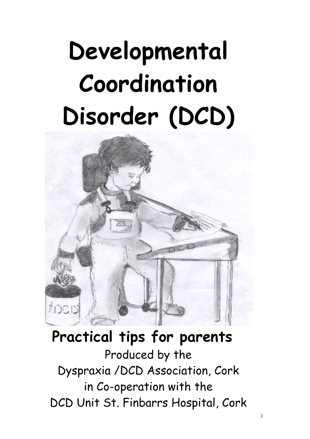# **Developmental Coordination Disorder (DCD)**



# **Practical tips for parents**

Produced by the Dyspraxia /DCD Association, Cork in Co-operation with the DCD Unit St. Finbarrs Hospital, Cork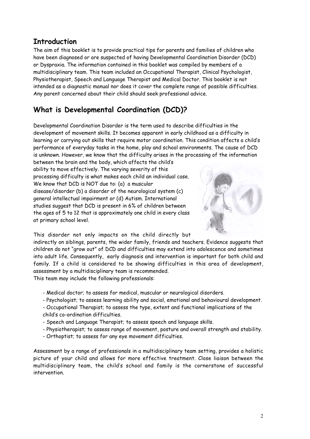# **Introduction**

The aim of this booklet is to provide practical tips for parents and families of children who have been diagnosed or are suspected of having Developmental Coordination Disorder (DCD) or Dyspraxia. The information contained in this booklet was compiled by members of a multidisciplinary team. This team included an Occupational Therapist, Clinical Psychologist, Physiotherapist, Speech and Language Therapist and Medical Doctor. This booklet is not intended as a diagnostic manual nor does it cover the complete range of possible difficulties. Any parent concerned about their child should seek professional advice.

# **What is Developmental Coordination (DCD)?**

Developmental Coordination Disorder is the term used to describe difficulties in the development of movement skills. It becomes apparent in early childhood as a difficulty in learning or carrying out skills that require motor coordination. This condition affects a child's performance of everyday tasks in the home, play and school environments. The cause of DCD is unknown. However, we know that the difficulty arises in the processing of the information

between the brain and the body, which affects the child's ability to move effectively. The varying severity of this processing difficulty is what makes each child an individual case. We know that DCD is NOT due to: (a) a muscular disease/disorder (b) a disorder of the neurological system (c) general intellectual impairment or (d) Autism. International studies suggest that DCD is present in 6% of children between the ages of 5 to 12 that is approximately one child in every class at primary school level.



This disorder not only impacts on the child directly but

indirectly on siblings, parents, the wider family, friends and teachers. Evidence suggests that children do not "grow out" of DCD and difficulties may extend into adolescence and sometimes into adult life. Consequently, early diagnosis and intervention is important for both child and family. If a child is considered to be showing difficulties in this area of development, assessment by a multidisciplinary team is recommended.

This team may include the following professionals:

- Medical doctor; to assess for medical, muscular or neurological disorders.
- Psychologist; to assess learning ability and social, emotional and behavioural development.
- Occupational Therapist; to assess the type, extent and functional implications of the child's co-ordination difficulties.
- Speech and Language Therapist; to assess speech and language skills.
- Physiotherapist; to assess range of movement, posture and overall strength and stability.
- Orthoptist; to assess for any eye movement difficulties.

Assessment by a range of professionals in a multidisciplinary team setting, provides a holistic picture of your child and allows for more effective treatment. Close liaison between the multidisciplinary team, the child's school and family is the cornerstone of successful intervention.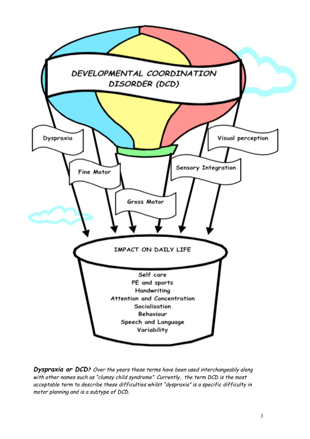

**Dyspraxia or DCD?** Over the years these terms have been used interchangeably along with other names such as "clumsy child syndrome". Currently, the term DCD is the most acceptable term to describe these difficulties whilst "dyspraxia" is <sup>a</sup> specific difficulty in motor planning and is <sup>a</sup> subtype of DCD.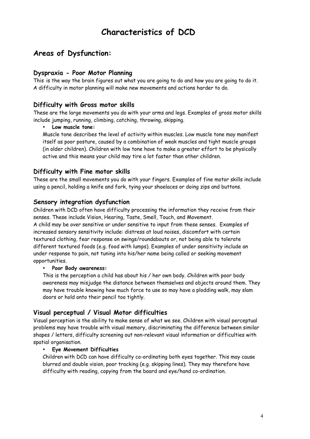# **Characteristics of DCD**

# **Areas of Dysfunction:**

#### **Dyspraxia - Poor Motor Planning**

This is the way the brain figures out what you are going to do and how you are going to do it. A difficulty in motor planning will make new movements and actions harder to do.

#### **Difficulty with Gross motor skills**

These are the large movements you do with your arms and legs. Examples of gross motor skills include jumping, running, climbing, catching, throwing, skipping.

#### • **Low muscle tone:**

Muscle tone describes the level of activity within muscles. Low muscle tone may manifest itself as poor posture, caused by a combination of weak muscles and tight muscle groups (in older children). Children with low tone have to make a greater effort to be physically active and this means your child may tire a lot faster than other children.

#### **Difficulty with Fine motor skills**

These are the small movements you do with your fingers. Examples of fine motor skills include using a pencil, holding a knife and fork, tying your shoelaces or doing zips and buttons.

#### **Sensory integration dysfunction**

Children with DCD often have difficulty processing the information they receive from their senses. These include Vision, Hearing, Taste, Smell, Touch, and Movement.

A child may be over sensitive or under sensitive to input from these senses. Examples of increased sensory sensitivity include: distress at loud noises, discomfort with certain textured clothing, fear response on swings/roundabouts or, not being able to tolerate different textured foods (e.g. food with lumps). Examples of under sensitivity include an under response to pain, not tuning into his/her name being called or seeking movement opportunities.

#### • **Poor Body awareness:**

This is the perception a child has about his / her own body. Children with poor body awareness may misjudge the distance between themselves and objects around them. They may have trouble knowing how much force to use so may have a plodding walk, may slam doors or hold onto their pencil too tightly.

#### **Visual perceptual / Visual Motor difficulties**

Visual perception is the ability to make sense of what we see. Children with visual perceptual problems may have trouble with visual memory, discriminating the difference between similar shapes / letters, difficulty screening out non-relevant visual information or difficulties with spatial organisation.

#### • **Eye Movement Difficulties**

Children with DCD can have difficulty co-ordinating both eyes together. This may cause blurred and double vision, poor tracking (e.g. skipping lines). They may therefore have difficulty with reading, copying from the board and eye/hand co-ordination.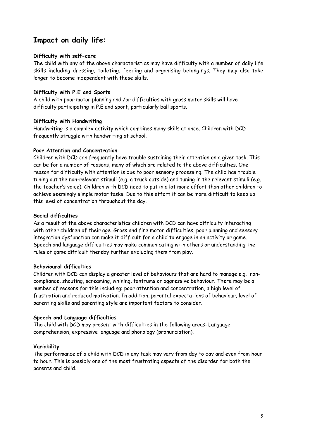# **Impact on daily life:**

#### **Difficulty with self-care**

The child with any of the above characteristics may have difficulty with a number of daily life skills including dressing, toileting, feeding and organising belongings. They may also take longer to become independent with these skills.

#### **Difficulty with P.E and Sports**

A child with poor motor planning and /or difficulties with gross motor skills will have difficulty participating in P.E and sport, particularly ball sports.

#### **Difficulty with Handwriting**

Handwriting is a complex activity which combines many skills at once. Children with DCD frequently struggle with handwriting at school.

#### **Poor Attention and Concentration**

Children with DCD can frequently have trouble sustaining their attention on a given task. This can be for a number of reasons, many of which are related to the above difficulties. One reason for difficulty with attention is due to poor sensory processing. The child has trouble tuning out the non-relevant stimuli (e.g. a truck outside) and tuning in the relevant stimuli (e.g. the teacher's voice). Children with DCD need to put in a lot more effort than other children to achieve seemingly simple motor tasks. Due to this effort it can be more difficult to keep up this level of concentration throughout the day.

#### **Social difficulties**

As a result of the above characteristics children with DCD can have difficulty interacting with other children of their age. Gross and fine motor difficulties, poor planning and sensory integration dysfunction can make it difficult for a child to engage in an activity or game. Speech and language difficulties may make communicating with others or understanding the rules of game difficult thereby further excluding them from play.

#### **Behavioural difficulties**

Children with DCD can display a greater level of behaviours that are hard to manage e.g. noncompliance, shouting, screaming, whining, tantrums or aggressive behaviour. There may be a number of reasons for this including: poor attention and concentration, a high level of frustration and reduced motivation. In addition, parental expectations of behaviour, level of parenting skills and parenting style are important factors to consider.

#### **Speech and Language difficulties**

The child with DCD may present with difficulties in the following areas: Language comprehension, expressive language and phonology (pronunciation).

#### **Variability**

The performance of a child with DCD in any task may vary from day to day and even from hour to hour. This is possibly one of the most frustrating aspects of the disorder for both the parents and child.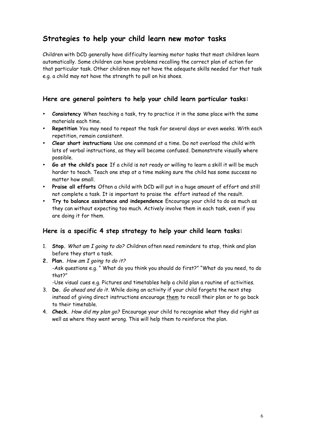# **Strategies to help your child learn new motor tasks**

Children with DCD generally have difficulty learning motor tasks that most children learn automatically. Some children can have problems recalling the correct plan of action for that particular task. Other children may not have the adequate skills needed for that task e.g. a child may not have the strength to pull on his shoes.

#### **Here are general pointers to help your child learn particular tasks:**

- **Consistency** When teaching a task, try to practice it in the same place with the same materials each time.
- **Repetition** You may need to repeat the task for several days or even weeks. With each repetition, remain consistent.
- **Clear short instructions** Use one command at a time. Do not overload the child with lots of verbal instructions, as they will become confused. Demonstrate visually where possible.
- **Go at the child's pace** If a child is not ready or willing to learn a skill it will be much harder to teach. Teach one step at a time making sure the child has some success no matter how small.
- **Praise all efforts** Often a child with DCD will put in a huge amount of effort and still not complete a task. It is important to praise the effort instead of the result.
- **Try to balance assistance and independence** Encourage your child to do as much as they can without expecting too much. Actively involve them in each task, even if you are doing it for them.

#### **Here is a specific 4 step strategy to help your child learn tasks:**

- 1. **Stop.** What am I going to do? Children often need reminders to stop, think and plan before they start a task.
- **2. Plan.** How am I going to do it? -Ask questions e.g. " What do you think you should do first?" "What do you need, to do that?"

-Use visual cues e.g. Pictures and timetables help a child plan a routine of activities.

- 3. **Do.** Go ahead and do it. While doing an activity if your child forgets the next step instead of giving direct instructions encourage them to recall their plan or to go back to their timetable.
- 4. **Check.** How did my plan go? Encourage your child to recognise what they did right as well as where they went wrong. This will help them to reinforce the plan.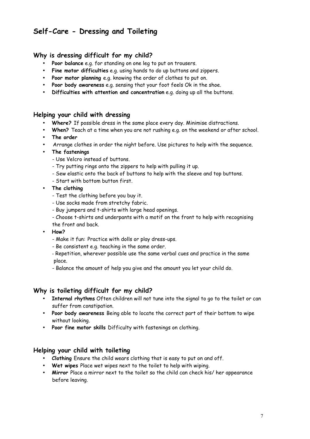# **Self-Care - Dressing and Toileting**

#### **Why is dressing difficult for my child?**

- **Poor balance** e.g. for standing on one leg to put on trousers.
- **Fine motor difficulties** e.g. using hands to do up buttons and zippers.
- **Poor motor planning** e.g. knowing the order of clothes to put on.
- **Poor body awareness** e.g. sensing that your foot feels Ok in the shoe.
- **Difficulties with attention and concentration** e.g. doing up all the buttons.

#### **Helping your child with dressing**

- **Where?** If possible dress in the same place every day. Minimise distractions.
- **When?** Teach at a time when you are not rushing e.g. on the weekend or after school.
- **The order**
- Arrange clothes in order the night before. Use pictures to help with the sequence.
- **The fastenings**
	- Use Velcro instead of buttons.
	- Try putting rings onto the zippers to help with pulling it up.
	- Sew elastic onto the back of buttons to help with the sleeve and top buttons.
	- Start with bottom button first.
- **The clothing**
	- Test the clothing before you buy it.
	- Use socks made from stretchy fabric.
	- Buy jumpers and t-shirts with large head openings.
	- Choose t-shirts and underpants with a motif on the front to help with recognising the front and back.
- **How?**
	- Make it fun: Practice with dolls or play dress-ups.
	- Be consistent e.g. teaching in the same order.
	- Repetition, wherever possible use the same verbal cues and practice in the same place.
	- Balance the amount of help you give and the amount you let your child do.

#### **Why is toileting difficult for my child?**

- **Internal rhythms** Often children will not tune into the signal to go to the toilet or can suffer from constipation.
- **Poor body awareness** Being able to locate the correct part of their bottom to wipe without looking.
- **Poor fine motor skills** Difficulty with fastenings on clothing.

#### **Helping your child with toileting**

- **Clothing** Ensure the child wears clothing that is easy to put on and off.
- **Wet wipes** Place wet wipes next to the toilet to help with wiping.
- **Mirror** Place a mirror next to the toilet so the child can check his/ her appearance before leaving.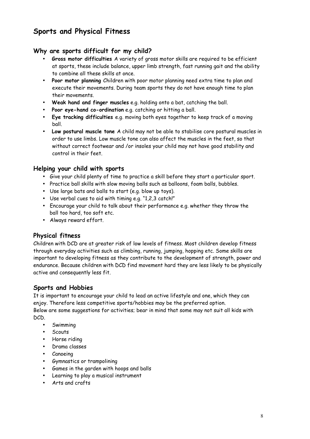# **Sports and Physical Fitness**

#### **Why are sports difficult for my child?**

- **Gross motor difficulties** A variety of gross motor skills are required to be efficient at sports, these include balance, upper limb strength, fast running gait and the ability to combine all these skills at once.
- **Poor motor planning** Children with poor motor planning need extra time to plan and execute their movements. During team sports they do not have enough time to plan their movements.
- **Weak hand and finger muscles** e.g. holding onto a bat, catching the ball.
- **Poor eye-hand co-ordination** e.g. catching or hitting a ball.
- **Eye tracking difficulties** e.g. moving both eyes together to keep track of a moving ball.
- **Low postural muscle tone** A child may not be able to stabilise core postural muscles in order to use limbs. Low muscle tone can also affect the muscles in the feet, so that without correct footwear and /or insoles your child may not have good stability and control in their feet.

#### **Helping your child with sports**

- Give your child plenty of time to practice a skill before they start a particular sport.
- Practice ball skills with slow moving balls such as balloons, foam balls, bubbles.
- Use large bats and balls to start (e.g. blow up toys).
- Use verbal cues to aid with timing e.g. "1,2,3 catch!"
- Encourage your child to talk about their performance e.g. whether they throw the ball too hard, too soft etc.
- Always reward effort.

#### **Physical fitness**

Children with DCD are at greater risk of low levels of fitness. Most children develop fitness through everyday activities such as climbing, running, jumping, hopping etc. Some skills are important to developing fitness as they contribute to the development of strength, power and endurance. Because children with DCD find movement hard they are less likely to be physically active and consequently less fit.

#### **Sports and Hobbies**

It is important to encourage your child to lead an active lifestyle and one, which they can enjoy. Therefore less competitive sports/hobbies may be the preferred option. Below are some suggestions for activities; bear in mind that some may not suit all kids with DCD.

- **Swimming**
- Scouts
- Horse riding
- Drama classes
- Canoeing
- Gymnastics or trampolining
- Games in the garden with hoops and balls
- Learning to play a musical instrument
- Arts and crafts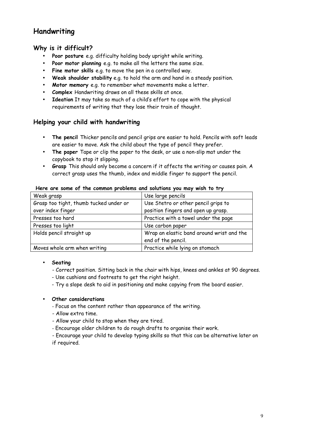# **Handwriting**

#### **Why is it difficult?**

- **Poor posture** e.g. difficulty holding body upright while writing.
- **Poor motor planning** e.g. to make all the letters the same size.
- **Fine motor skills** e.g. to move the pen in a controlled way.
- **Weak shoulder stability** e.g. to hold the arm and hand in a steady position.
- **Motor memory** e.g. to remember what movements make a letter.
- **Complex** Handwriting draws on all these skills at once.
- **Ideation** It may take so much of a child's effort to cope with the physical requirements of writing that they lose their train of thought.

#### **Helping your child with handwriting**

- **The pencil** Thicker pencils and pencil grips are easier to hold. Pencils with soft leads are easier to move. Ask the child about the type of pencil they prefer.
- **The paper** Tape or clip the paper to the desk, or use a non-slip mat under the copybook to stop it slipping.
- **Grasp** This should only become a concern if it affects the writing or causes pain. A correct grasp uses the thumb, index and middle finger to support the pencil.

| Weak grasp                             | Use large pencils                         |
|----------------------------------------|-------------------------------------------|
| Grasp too tight, thumb tucked under or | Use Stetro or other pencil grips to       |
| over index finger                      | position fingers and open up grasp.       |
| Presses too hard                       | Practice with a towel under the page      |
| Presses too light                      | Use carbon paper                          |
| Holds pencil straight up               | Wrap an elastic band around wrist and the |
|                                        | end of the pencil.                        |
| Moves whole arm when writing           | Practice while lying on stomach           |

#### **Here are some of the common problems and solutions you may wish to try**

#### • **Seating**

- Correct position. Sitting back in the chair with hips, knees and ankles at 90 degrees.
- Use cushions and footrests to get the right height.
- Try a slope desk to aid in positioning and make copying from the board easier.

#### • **Other considerations**

- Focus on the content rather than appearance of the writing.
- Allow extra time.
- Allow your child to stop when they are tired.
- Encourage older children to do rough drafts to organise their work.
- Encourage your child to develop typing skills so that this can be alternative later on if required.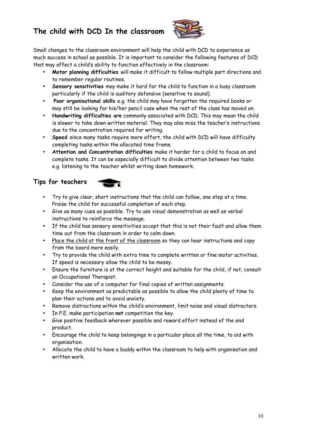# **The child with DCD In the classroom**



Small changes to the classroom environment will help the child with DCD to experience as much success in school as possible. It is important to consider the following features of DCD that may affect a child's ability to function effectively in the classroom:

- **Motor planning difficulties** will make it difficult to follow multiple part directions and to remember regular routines.
- **Sensory sensitivities** may make it hard for the child to function in a busy classroom particularly if the child is auditory defensive (sensitive to sound).
- **Poor organisational skills** e.g. the child may have forgotten the required books or may still be looking for his/her pencil case when the rest of the class has moved on.
- **Handwriting difficulties are** commonly associated with DCD. This may mean the child is slower to take down written material. They may also miss the teacher's instructions due to the concentration required for writing.
- **Speed** since many tasks require more effort, the child with DCD will have difficulty completing tasks within the allocated time frame.
- **Attention and Concentration difficulties** make it harder for a child to focus on and complete tasks. It can be especially difficult to divide attention between two tasks e.g. listening to the teacher whilst writing down homework.

# **Tips for teachers**

- Try to give clear, short instructions that the child can follow, one step at a time. Praise the child for successful completion of each step.
- Give as many cues as possible. Try to use visual demonstration as well as verbal instructions to reinforce the message.
- If the child has sensory sensitivities accept that this is not their fault and allow them time out from the classroom in order to calm down.
- Place the child at the front of the classroom so they can hear instructions and copy from the board more easily.
- Try to provide the child with extra time to complete written or fine motor activities. If speed is necessary allow the child to be messy.
- Ensure the furniture is at the correct height and suitable for the child, if not, consult an Occupational Therapist.
- Consider the use of a computer for final copies of written assignments.
- Keep the environment as predictable as possible to allow the child plenty of time to plan their actions and to avoid anxiety.
- Remove distractions within the child's environment, limit noise and visual distracters.
- In P.E. make participation **not** competition the key.
- Give positive feedback wherever possible and reward effort instead of the end product.
- Encourage the child to keep belongings in a particular place all the time, to aid with organisation.
- Allocate the child to have a buddy within the classroom to help with organisation and written work.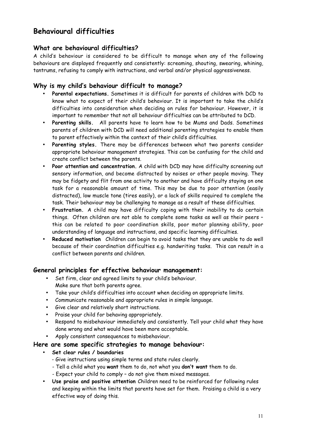# **Behavioural difficulties**

#### **What are behavioural difficulties?**

A child's behaviour is considered to be difficult to manage when any of the following behaviours are displayed frequently and consistently: screaming, shouting, swearing, whining, tantrums, refusing to comply with instructions, and verbal and/or physical aggressiveness.

#### **Why is my child's behaviour difficult to manage?**

- **Parental expectations.** Sometimes it is difficult for parents of children with DCD to know what to expect of their child's behaviour. It is important to take the child's difficulties into consideration when deciding on rules for behaviour. However, it is important to remember that not all behaviour difficulties can be attributed to DCD.
- **Parenting skills.** All parents have to learn how to be Mums and Dads. Sometimes parents of children with DCD will need additional parenting strategies to enable them to parent effectively within the context of their child's difficulties.
- **Parenting styles.** There may be differences between what two parents consider appropriate behaviour management strategies. This can be confusing for the child and create conflict between the parents.
- **Poor attention and concentration.** A child with DCD may have difficulty screening out sensory information, and become distracted by noises or other people moving. They may be fidgety and flit from one activity to another and have difficulty staying on one task for a reasonable amount of time. This may be due to poor attention (easily distracted), low muscle tone (tires easily), or a lack of skills required to complete the task. Their behaviour may be challenging to manage as a result of these difficulties.
- **Frustration.** A child may have difficulty coping with their inability to do certain things. Often children are not able to complete some tasks as well as their peers – this can be related to poor coordination skills, poor motor planning ability, poor understanding of language and instructions, and specific learning difficulties.
- **Reduced motivation** Children can begin to avoid tasks that they are unable to do well because of their coordination difficulties e.g. handwriting tasks. This can result in a conflict between parents and children.

#### **General principles for effective behaviour management:**

- Set firm, clear and agreed limits to your child's behaviour. Make sure that both parents agree.
- Take your child's difficulties into account when deciding on appropriate limits.
- Communicate reasonable and appropriate rules in simple language.
- Give clear and relatively short instructions.
- Praise your child for behaving appropriately.
- Respond to misbehaviour immediately and consistently. Tell your child what they have done wrong and what would have been more acceptable.
- Apply consistent consequences to misbehaviour.

#### **Here are some specific strategies to manage behaviour:**

- **Set clear rules / boundaries**
	- Give instructions using simple terms and state rules clearly.
	- Tell a child what you **want** them to do, not what you **don't want** them to do.
	- Expect your child to comply do not give them mixed messages.
- **Use praise and positive attention** Children need to be reinforced for following rules and keeping within the limits that parents have set for them. Praising a child is a very effective way of doing this.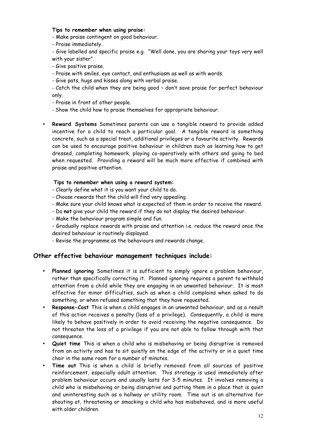#### **Tips to remember when using praise:**

- Make praise contingent on good behaviour.
- Praise immediately.

- Give labelled and specific praise e.g. "Well done, you are sharing your toys very well with your sister".

- Give positive praise.
- Praise with smiles, eye contact, and enthusiasm as well as with words.
- Give pats, hugs and kisses along with verbal praise.

- Catch the child when they are being good – don't save praise for perfect behaviour only.

- Praise in front of other people.
- Show the child how to praise themselves for appropriate behaviour.
- **Reward Systems** Sometimes parents can use a tangible reward to provide added incentive for a child to reach a particular goal. A tangible reward is something concrete, such as a special treat, additional privileges or a favourite activity. Rewards can be used to encourage positive behaviour in children such as learning how to get dressed, completing homework, playing co-operatively with others and going to bed when requested. Providing a reward will be much more effective if combined with praise and positive attention.

#### **Tips to remember when using a reward system:**

- Clearly define what it is you want your child to do.
- Choose rewards that the child will find very appealing.
- Make sure your child knows what is expected of them in order to receive the reward.
- Do **not** give your child the reward if they do not display the desired behaviour.
- Make the behaviour program simple and fun.
- Gradually replace rewards with praise and attention i.e. reduce the reward once the desired behaviour is routinely displayed.
- Revise the programme as the behaviours and rewards change.

#### **Other effective behaviour management techniques include:**

- **Planned ignoring** Sometimes it is sufficient to simply ignore a problem behaviour, rather than specifically correcting it. Planned ignoring requires a parent to withhold attention from a child while they are engaging in an unwanted behaviour. It is most effective for minor difficulties, such as when a child complains when asked to do something, or when refused something that they have requested.
- **Response-Cost** This is when a child engages in an unwanted behaviour, and as a result of this action receives a penalty (loss of a privilege). Consequently, a child is more likely to behave positively in order to avoid receiving the negative consequence. Do not threaten the loss of a privilege if you are not able to follow through with that consequence.
- **Quiet time** This is when a child who is misbehaving or being disruptive is removed from an activity and has to sit quietly on the edge of the activity or in a quiet time chair in the same room for a number of minutes.
- **Time out** This is when a child is briefly removed from all sources of positive reinforcement, especially adult attention. This strategy is used immediately after problem behaviour occurs and usually lasts for 3-5 minutes. It involves removing a child who is misbehaving or being disruptive and putting them in a place that is quiet and uninteresting such as a hallway or utility room. Time out is an alternative for shouting at, threatening or smacking a child who has misbehaved, and is more useful with older children.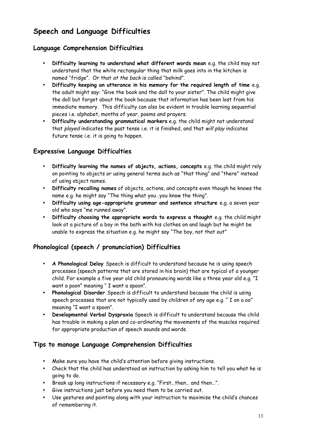# **Speech and Language Difficulties**

#### **Language Comprehension Difficulties**

- **Difficulty learning to understand what different words mean** e.g. the child may not understand that the white rectangular thing that milk goes into in the kitchen is named "fridge". Or that at the back is called "behind".
- **Difficulty keeping an utterance in his memory for the required length of time** e.g. the adult might say: "Give the book and the doll to your sister". The child might give the doll but forget about the book because that information has been lost from his immediate memory. This difficulty can also be evident in trouble learning sequential pieces i.e. alphabet, months of year, poems and prayers.
- **Difficulty understanding grammatical markers** e.g. the child might not understand that played indicates the past tense i.e. it is finished, and that will play indicates future tense i.e. it is going to happen.

#### **Expressive Language Difficulties**

- **Difficulty learning the names of objects, actions, concepts** e.g. the child might rely on pointing to objects or using general terms such as "that thing" and "there" instead of using object names.
- **Difficulty recalling names** of objects, actions, and concepts even though he knows the name e.g. he might say "The thing what you…you know the thing".
- **Difficulty using age-appropriate grammar and sentence structure** e.g. a seven year old who says "me runned away".
- **Difficulty choosing the appropriate words to express a thought** e.g. the child might look at a picture of a boy in the bath with his clothes on and laugh but he might be unable to express the situation e.g. he might say "The boy, not that out"

### **Phonological (speech / pronunciation) Difficulties**

- **A Phonological Delay** Speech is difficult to understand because he is using speech processes (speech patterns that are stored in his brain) that are typical of a younger child. For example a five year old child pronouncing words like a three year old e.g. "I want a poon" meaning " I want a spoon".
- **Phonological Disorder** Speech is difficult to understand because the child is using speech processes that are not typically used by children of any age e.g. " I on a oo" meaning "I want a spoon".
- **Developmental Verbal Dyspraxia** Speech is difficult to understand because the child has trouble in making a plan and co-ordinating the movements of the muscles required for appropriate production of speech sounds and words.

#### **Tips to manage Language Comprehension Difficulties**

- Make sure you have the child's attention before giving instructions.
- Check that the child has understood an instruction by asking him to tell you what he is going to do.
- Break up long instructions if necessary e.g. "First…then… and then…".
- Give instructions just before you need them to be carried out.
- Use gestures and pointing along with your instruction to maximise the child's chances of remembering it.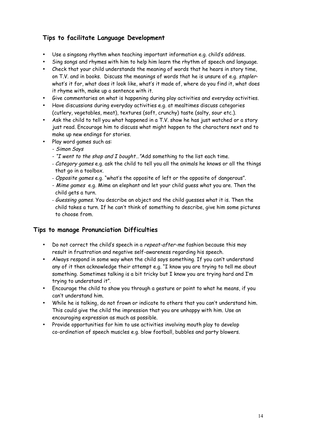# **Tips to facilitate Language Development**

- Use a singsong rhythm when teaching important information e.g. child's address.
- Sing songs and rhymes with him to help him learn the rhythm of speech and language.
- Check that your child understands the meaning of words that he hears in story time, on T.V. and in books. Discuss the meanings of words that he is unsure of e.g. staplerwhat's it for, what does it look like, what's it made of, where do you find it, what does it rhyme with, make up a sentence with it.
- Give commentaries on what is happening during play activities and everyday activities.
- Have discussions during everyday activities e.g. at mealtimes discuss categories (cutlery, vegetables, meat), textures (soft, crunchy) taste (salty, sour etc.).
- Ask the child to tell you what happened in a T.V. show he has just watched or a story just read. Encourage him to discuss what might happen to the characters next and to make up new endings for stories.
- Play word games such as:
	- Simon Says
	- "I went to the shop and <sup>I</sup> bought…"Add something to the list each time.
	- Category games e.g. ask the child to tell you all the animals he knows or all the things that go in a toolbox.
	- Opposite games e.g. "what's the opposite of left or the opposite of dangerous".
	- Mime games e.g. Mime an elephant and let your child guess what you are. Then the child gets a turn.
	- Guessing games. You describe an object and the child guesses what it is. Then the child takes a turn. If he can't think of something to describe, give him some pictures to choose from.

#### **Tips to manage Pronunciation Difficulties**

- Do not correct the child's speech in a repeat-after-me fashion because this may result in frustration and negative self-awareness regarding his speech.
- Always respond in some way when the child says something. If you can't understand any of it then acknowledge their attempt e.g. "I know you are trying to tell me about something. Sometimes talking is a bit tricky but I know you are trying hard and I'm trying to understand it".
- Encourage the child to show you through a gesture or point to what he means, if you can't understand him.
- While he is talking, do not frown or indicate to others that you can't understand him. This could give the child the impression that you are unhappy with him. Use an encouraging expression as much as possible.
- Provide opportunities for him to use activities involving mouth play to develop co-ordination of speech muscles e.g. blow football, bubbles and party blowers.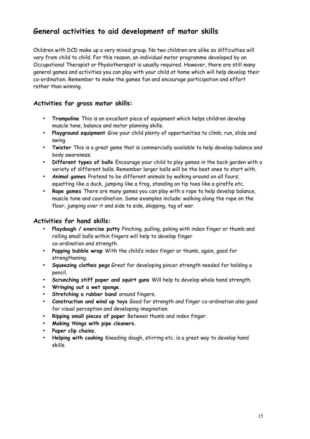# **General activities to aid development of motor skills**

Children with DCD make up a very mixed group. No two children are alike so difficulties will vary from child to child. For this reason, an individual motor programme developed by an Occupational Therapist or Physiotherapist is usually required. However, there are still many general games and activities you can play with your child at home which will help develop their co-ordination. Remember to make the games fun and encourage participation and effort rather than winning.

#### **Activities for gross motor skills:**

- **Trampoline** This is an excellent piece of equipment which helps children develop muscle tone, balance and motor planning skills.
- **Playground equipment** Give your child plenty of opportunities to climb, run, slide and swing.
- **Twister** This is a great game that is commercially available to help develop balance and body awareness.
- **Different types of balls** Encourage your child to play games in the back garden with a variety of different balls. Remember larger balls will be the best ones to start with.
- **Animal games** Pretend to be different animals by walking around on all fours; squatting like a duck, jumping like a frog, standing on tip toes like a giraffe etc.
- **Rope games** There are many games you can play with a rope to help develop balance, muscle tone and coordination. Some examples include: walking along the rope on the floor, jumping over it and side to side, skipping, tug of war.

#### **Activities for hand skills:**

- **Playdough / exercise putty** Pinching, pulling, poking with index finger or thumb and rolling small balls within fingers will help to develop finger co-ordination and strength.
- **Popping bubble wrap** With the child's index finger or thumb, again, good for strengthening.
- **Squeezing clothes pegs** Great for developing pincer strength needed for holding a pencil.
- **Scrunching stiff paper and squirt guns** Will help to develop whole hand strength.
- **Wringing out a wet sponge.**
- **Stretching a rubber band** around fingers.
- **Construction and wind up toys** Good for strength and finger co-ordination also good for visual perception and developing imagination.
- **Ripping small pieces of paper** Between thumb and index finger.
- **Making things with pipe cleaners.**
- **Paper clip chains.**
- **Helping with cooking** Kneading dough, stirring etc. is a great way to develop hand skills.